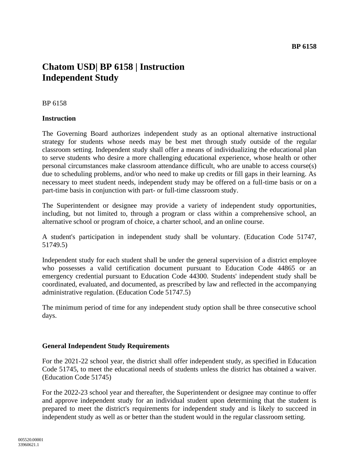# **Chatom USD| BP 6158 | Instruction Independent Study**

### BP 6158

### **Instruction**

The Governing Board authorizes independent study as an optional alternative instructional strategy for students whose needs may be best met through study outside of the regular classroom setting. Independent study shall offer a means of individualizing the educational plan to serve students who desire a more challenging educational experience, whose health or other personal circumstances make classroom attendance difficult, who are unable to access course(s) due to scheduling problems, and/or who need to make up credits or fill gaps in their learning. As necessary to meet student needs, independent study may be offered on a full-time basis or on a part-time basis in conjunction with part- or full-time classroom study.

The Superintendent or designee may provide a variety of independent study opportunities, including, but not limited to, through a program or class within a comprehensive school, an alternative school or program of choice, a charter school, and an online course.

A student's participation in independent study shall be voluntary. (Education Code 51747, 51749.5)

Independent study for each student shall be under the general supervision of a district employee who possesses a valid certification document pursuant to Education Code 44865 or an emergency credential pursuant to Education Code 44300. Students' independent study shall be coordinated, evaluated, and documented, as prescribed by law and reflected in the accompanying administrative regulation. (Education Code 51747.5)

The minimum period of time for any independent study option shall be three consecutive school days.

#### **General Independent Study Requirements**

For the 2021-22 school year, the district shall offer independent study, as specified in Education Code 51745, to meet the educational needs of students unless the district has obtained a waiver. (Education Code 51745)

For the 2022-23 school year and thereafter, the Superintendent or designee may continue to offer and approve independent study for an individual student upon determining that the student is prepared to meet the district's requirements for independent study and is likely to succeed in independent study as well as or better than the student would in the regular classroom setting.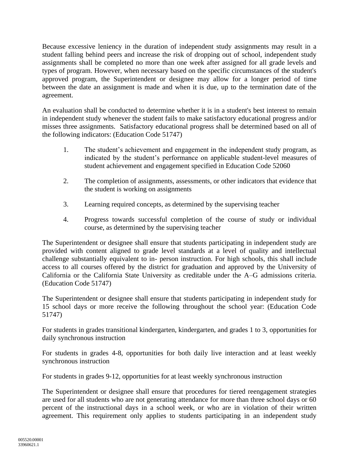Because excessive leniency in the duration of independent study assignments may result in a student falling behind peers and increase the risk of dropping out of school, independent study assignments shall be completed no more than one week after assigned for all grade levels and types of program. However, when necessary based on the specific circumstances of the student's approved program, the Superintendent or designee may allow for a longer period of time between the date an assignment is made and when it is due, up to the termination date of the agreement.

An evaluation shall be conducted to determine whether it is in a student's best interest to remain in independent study whenever the student fails to make satisfactory educational progress and/or misses three assignments. Satisfactory educational progress shall be determined based on all of the following indicators: (Education Code 51747)

- 1. The student's achievement and engagement in the independent study program, as indicated by the student's performance on applicable student-level measures of student achievement and engagement specified in Education Code 52060
- 2. The completion of assignments, assessments, or other indicators that evidence that the student is working on assignments
- 3. Learning required concepts, as determined by the supervising teacher
- 4. Progress towards successful completion of the course of study or individual course, as determined by the supervising teacher

The Superintendent or designee shall ensure that students participating in independent study are provided with content aligned to grade level standards at a level of quality and intellectual challenge substantially equivalent to in- person instruction. For high schools, this shall include access to all courses offered by the district for graduation and approved by the University of California or the California State University as creditable under the A–G admissions criteria. (Education Code 51747)

The Superintendent or designee shall ensure that students participating in independent study for 15 school days or more receive the following throughout the school year: (Education Code 51747)

For students in grades transitional kindergarten, kindergarten, and grades 1 to 3, opportunities for daily synchronous instruction

For students in grades 4-8, opportunities for both daily live interaction and at least weekly synchronous instruction

For students in grades 9-12, opportunities for at least weekly synchronous instruction

The Superintendent or designee shall ensure that procedures for tiered reengagement strategies are used for all students who are not generating attendance for more than three school days or 60 percent of the instructional days in a school week, or who are in violation of their written agreement. This requirement only applies to students participating in an independent study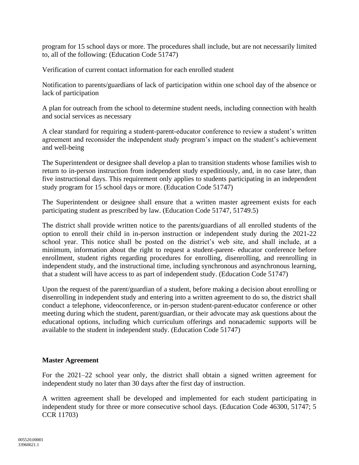program for 15 school days or more. The procedures shall include, but are not necessarily limited to, all of the following: (Education Code 51747)

Verification of current contact information for each enrolled student

Notification to parents/guardians of lack of participation within one school day of the absence or lack of participation

A plan for outreach from the school to determine student needs, including connection with health and social services as necessary

A clear standard for requiring a student-parent-educator conference to review a student's written agreement and reconsider the independent study program's impact on the student's achievement and well-being

The Superintendent or designee shall develop a plan to transition students whose families wish to return to in-person instruction from independent study expeditiously, and, in no case later, than five instructional days. This requirement only applies to students participating in an independent study program for 15 school days or more. (Education Code 51747)

The Superintendent or designee shall ensure that a written master agreement exists for each participating student as prescribed by law. (Education Code 51747, 51749.5)

The district shall provide written notice to the parents/guardians of all enrolled students of the option to enroll their child in in-person instruction or independent study during the 2021-22 school year. This notice shall be posted on the district's web site, and shall include, at a minimum, information about the right to request a student-parent- educator conference before enrollment, student rights regarding procedures for enrolling, disenrolling, and reenrolling in independent study, and the instructional time, including synchronous and asynchronous learning, that a student will have access to as part of independent study. (Education Code 51747)

Upon the request of the parent/guardian of a student, before making a decision about enrolling or disenrolling in independent study and entering into a written agreement to do so, the district shall conduct a telephone, videoconference, or in-person student-parent-educator conference or other meeting during which the student, parent/guardian, or their advocate may ask questions about the educational options, including which curriculum offerings and nonacademic supports will be available to the student in independent study. (Education Code 51747)

# **Master Agreement**

For the 2021–22 school year only, the district shall obtain a signed written agreement for independent study no later than 30 days after the first day of instruction.

A written agreement shall be developed and implemented for each student participating in independent study for three or more consecutive school days. (Education Code 46300, 51747; 5 CCR 11703)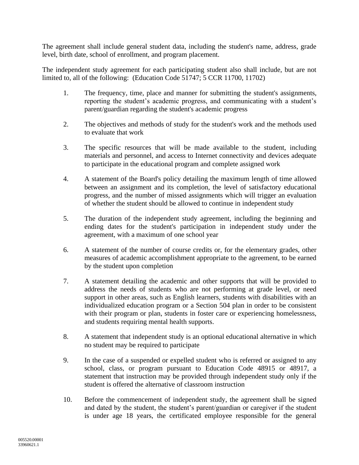The agreement shall include general student data, including the student's name, address, grade level, birth date, school of enrollment, and program placement.

The independent study agreement for each participating student also shall include, but are not limited to, all of the following: (Education Code 51747; 5 CCR 11700, 11702)

- 1. The frequency, time, place and manner for submitting the student's assignments, reporting the student's academic progress, and communicating with a student's parent/guardian regarding the student's academic progress
- 2. The objectives and methods of study for the student's work and the methods used to evaluate that work
- 3. The specific resources that will be made available to the student, including materials and personnel, and access to Internet connectivity and devices adequate to participate in the educational program and complete assigned work
- 4. A statement of the Board's policy detailing the maximum length of time allowed between an assignment and its completion, the level of satisfactory educational progress, and the number of missed assignments which will trigger an evaluation of whether the student should be allowed to continue in independent study
- 5. The duration of the independent study agreement, including the beginning and ending dates for the student's participation in independent study under the agreement, with a maximum of one school year
- 6. A statement of the number of course credits or, for the elementary grades, other measures of academic accomplishment appropriate to the agreement, to be earned by the student upon completion
- 7. A statement detailing the academic and other supports that will be provided to address the needs of students who are not performing at grade level, or need support in other areas, such as English learners, students with disabilities with an individualized education program or a Section 504 plan in order to be consistent with their program or plan, students in foster care or experiencing homelessness, and students requiring mental health supports.
- 8. A statement that independent study is an optional educational alternative in which no student may be required to participate
- 9. In the case of a suspended or expelled student who is referred or assigned to any school, class, or program pursuant to Education Code 48915 or 48917, a statement that instruction may be provided through independent study only if the student is offered the alternative of classroom instruction
- 10. Before the commencement of independent study, the agreement shall be signed and dated by the student, the student's parent/guardian or caregiver if the student is under age 18 years, the certificated employee responsible for the general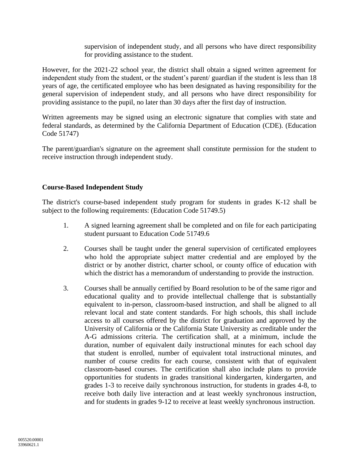supervision of independent study, and all persons who have direct responsibility for providing assistance to the student.

However, for the 2021-22 school year, the district shall obtain a signed written agreement for independent study from the student, or the student's parent/ guardian if the student is less than 18 years of age, the certificated employee who has been designated as having responsibility for the general supervision of independent study, and all persons who have direct responsibility for providing assistance to the pupil, no later than 30 days after the first day of instruction.

Written agreements may be signed using an electronic signature that complies with state and federal standards, as determined by the California Department of Education (CDE). (Education Code 51747)

The parent/guardian's signature on the agreement shall constitute permission for the student to receive instruction through independent study.

# **Course-Based Independent Study**

The district's course-based independent study program for students in grades K-12 shall be subject to the following requirements: (Education Code 51749.5)

- 1. A signed learning agreement shall be completed and on file for each participating student pursuant to Education Code 51749.6
- 2. Courses shall be taught under the general supervision of certificated employees who hold the appropriate subject matter credential and are employed by the district or by another district, charter school, or county office of education with which the district has a memorandum of understanding to provide the instruction.
- 3. Courses shall be annually certified by Board resolution to be of the same rigor and educational quality and to provide intellectual challenge that is substantially equivalent to in-person, classroom-based instruction, and shall be aligned to all relevant local and state content standards. For high schools, this shall include access to all courses offered by the district for graduation and approved by the University of California or the California State University as creditable under the A-G admissions criteria. The certification shall, at a minimum, include the duration, number of equivalent daily instructional minutes for each school day that student is enrolled, number of equivalent total instructional minutes, and number of course credits for each course, consistent with that of equivalent classroom-based courses. The certification shall also include plans to provide opportunities for students in grades transitional kindergarten, kindergarten, and grades 1-3 to receive daily synchronous instruction, for students in grades 4-8, to receive both daily live interaction and at least weekly synchronous instruction, and for students in grades 9-12 to receive at least weekly synchronous instruction.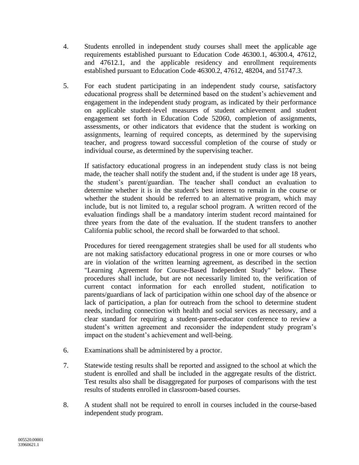- 4. Students enrolled in independent study courses shall meet the applicable age requirements established pursuant to Education Code 46300.1, 46300.4, 47612, and 47612.1, and the applicable residency and enrollment requirements established pursuant to Education Code 46300.2, 47612, 48204, and 51747.3.
- 5. For each student participating in an independent study course, satisfactory educational progress shall be determined based on the student's achievement and engagement in the independent study program, as indicated by their performance on applicable student-level measures of student achievement and student engagement set forth in Education Code 52060, completion of assignments, assessments, or other indicators that evidence that the student is working on assignments, learning of required concepts, as determined by the supervising teacher, and progress toward successful completion of the course of study or individual course, as determined by the supervising teacher.

If satisfactory educational progress in an independent study class is not being made, the teacher shall notify the student and, if the student is under age 18 years, the student's parent/guardian. The teacher shall conduct an evaluation to determine whether it is in the student's best interest to remain in the course or whether the student should be referred to an alternative program, which may include, but is not limited to, a regular school program. A written record of the evaluation findings shall be a mandatory interim student record maintained for three years from the date of the evaluation. If the student transfers to another California public school, the record shall be forwarded to that school.

Procedures for tiered reengagement strategies shall be used for all students who are not making satisfactory educational progress in one or more courses or who are in violation of the written learning agreement, as described in the section "Learning Agreement for Course-Based Independent Study" below. These procedures shall include, but are not necessarily limited to, the verification of current contact information for each enrolled student, notification to parents/guardians of lack of participation within one school day of the absence or lack of participation, a plan for outreach from the school to determine student needs, including connection with health and social services as necessary, and a clear standard for requiring a student-parent-educator conference to review a student's written agreement and reconsider the independent study program's impact on the student's achievement and well-being.

- 6. Examinations shall be administered by a proctor.
- 7. Statewide testing results shall be reported and assigned to the school at which the student is enrolled and shall be included in the aggregate results of the district. Test results also shall be disaggregated for purposes of comparisons with the test results of students enrolled in classroom-based courses.
- 8. A student shall not be required to enroll in courses included in the course-based independent study program.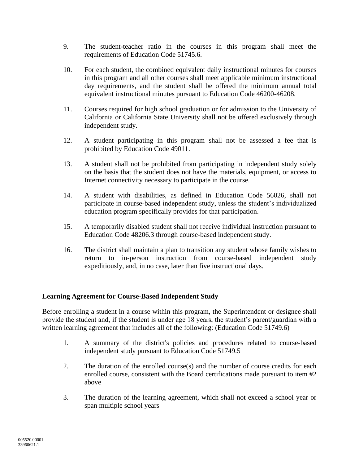- 9. The student-teacher ratio in the courses in this program shall meet the requirements of Education Code 51745.6.
- 10. For each student, the combined equivalent daily instructional minutes for courses in this program and all other courses shall meet applicable minimum instructional day requirements, and the student shall be offered the minimum annual total equivalent instructional minutes pursuant to Education Code 46200-46208.
- 11. Courses required for high school graduation or for admission to the University of California or California State University shall not be offered exclusively through independent study.
- 12. A student participating in this program shall not be assessed a fee that is prohibited by Education Code 49011.
- 13. A student shall not be prohibited from participating in independent study solely on the basis that the student does not have the materials, equipment, or access to Internet connectivity necessary to participate in the course.
- 14. A student with disabilities, as defined in Education Code 56026, shall not participate in course-based independent study, unless the student's individualized education program specifically provides for that participation.
- 15. A temporarily disabled student shall not receive individual instruction pursuant to Education Code 48206.3 through course-based independent study.
- 16. The district shall maintain a plan to transition any student whose family wishes to return to in-person instruction from course-based independent study expeditiously, and, in no case, later than five instructional days.

# **Learning Agreement for Course-Based Independent Study**

Before enrolling a student in a course within this program, the Superintendent or designee shall provide the student and, if the student is under age 18 years, the student's parent/guardian with a written learning agreement that includes all of the following: (Education Code 51749.6)

- 1. A summary of the district's policies and procedures related to course-based independent study pursuant to Education Code 51749.5
- 2. The duration of the enrolled course(s) and the number of course credits for each enrolled course, consistent with the Board certifications made pursuant to item #2 above
- 3. The duration of the learning agreement, which shall not exceed a school year or span multiple school years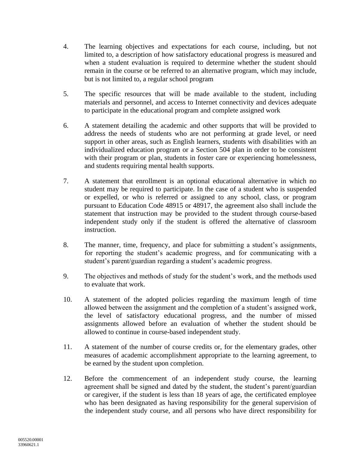- 4. The learning objectives and expectations for each course, including, but not limited to, a description of how satisfactory educational progress is measured and when a student evaluation is required to determine whether the student should remain in the course or be referred to an alternative program, which may include, but is not limited to, a regular school program
- 5. The specific resources that will be made available to the student, including materials and personnel, and access to Internet connectivity and devices adequate to participate in the educational program and complete assigned work
- 6. A statement detailing the academic and other supports that will be provided to address the needs of students who are not performing at grade level, or need support in other areas, such as English learners, students with disabilities with an individualized education program or a Section 504 plan in order to be consistent with their program or plan, students in foster care or experiencing homelessness, and students requiring mental health supports.
- 7. A statement that enrollment is an optional educational alternative in which no student may be required to participate. In the case of a student who is suspended or expelled, or who is referred or assigned to any school, class, or program pursuant to Education Code 48915 or 48917, the agreement also shall include the statement that instruction may be provided to the student through course-based independent study only if the student is offered the alternative of classroom instruction.
- 8. The manner, time, frequency, and place for submitting a student's assignments, for reporting the student's academic progress, and for communicating with a student's parent/guardian regarding a student's academic progress.
- 9. The objectives and methods of study for the student's work, and the methods used to evaluate that work.
- 10. A statement of the adopted policies regarding the maximum length of time allowed between the assignment and the completion of a student's assigned work, the level of satisfactory educational progress, and the number of missed assignments allowed before an evaluation of whether the student should be allowed to continue in course-based independent study.
- 11. A statement of the number of course credits or, for the elementary grades, other measures of academic accomplishment appropriate to the learning agreement, to be earned by the student upon completion.
- 12. Before the commencement of an independent study course, the learning agreement shall be signed and dated by the student, the student's parent/guardian or caregiver, if the student is less than 18 years of age, the certificated employee who has been designated as having responsibility for the general supervision of the independent study course, and all persons who have direct responsibility for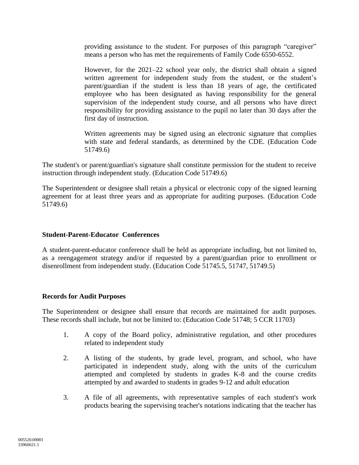providing assistance to the student. For purposes of this paragraph "caregiver" means a person who has met the requirements of Family Code 6550-6552.

However, for the 2021–22 school year only, the district shall obtain a signed written agreement for independent study from the student, or the student's parent/guardian if the student is less than 18 years of age, the certificated employee who has been designated as having responsibility for the general supervision of the independent study course, and all persons who have direct responsibility for providing assistance to the pupil no later than 30 days after the first day of instruction.

Written agreements may be signed using an electronic signature that complies with state and federal standards, as determined by the CDE. (Education Code 51749.6)

The student's or parent/guardian's signature shall constitute permission for the student to receive instruction through independent study. (Education Code 51749.6)

The Superintendent or designee shall retain a physical or electronic copy of the signed learning agreement for at least three years and as appropriate for auditing purposes. (Education Code 51749.6)

### **Student-Parent-Educator Conferences**

A student-parent-educator conference shall be held as appropriate including, but not limited to, as a reengagement strategy and/or if requested by a parent/guardian prior to enrollment or disenrollment from independent study. (Education Code 51745.5, 51747, 51749.5)

#### **Records for Audit Purposes**

The Superintendent or designee shall ensure that records are maintained for audit purposes. These records shall include, but not be limited to: (Education Code 51748; 5 CCR 11703)

- 1. A copy of the Board policy, administrative regulation, and other procedures related to independent study
- 2. A listing of the students, by grade level, program, and school, who have participated in independent study, along with the units of the curriculum attempted and completed by students in grades K-8 and the course credits attempted by and awarded to students in grades 9-12 and adult education
- 3. A file of all agreements, with representative samples of each student's work products bearing the supervising teacher's notations indicating that the teacher has